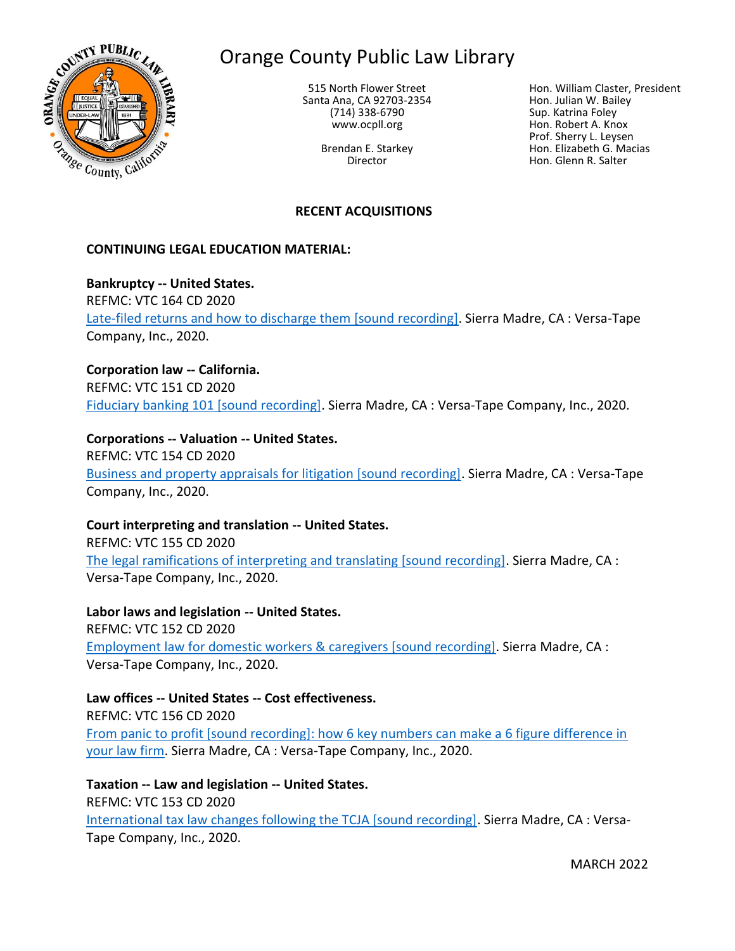

# Orange County Public Law Library

515 North Flower Street Santa Ana, CA 92703-2354 (714) 338-6790 www.ocpll.org

> Brendan E. Starkey Director

Hon. William Claster, President Hon. Julian W. Bailey Sup. Katrina Foley Hon. Robert A. Knox Prof. Sherry L. Leysen Hon. Elizabeth G. Macias Hon. Glenn R. Salter

# **RECENT ACQUISITIONS**

### **CONTINUING LEGAL EDUCATION MATERIAL:**

**Bankruptcy -- United States.** REFMC: VTC 164 CD 2020 [Late-filed returns and how to discharge them \[sound recording\].](https://innopac.ocpll.org/record=b230980) Sierra Madre, CA : Versa-Tape Company, Inc., 2020.

**Corporation law -- California.** REFMC: VTC 151 CD 2020 [Fiduciary banking 101 \[sound recording\].](https://innopac.ocpll.org/record=b231011) Sierra Madre, CA : Versa-Tape Company, Inc., 2020.

**Corporations -- Valuation -- United States.** REFMC: VTC 154 CD 2020 [Business and property appraisals for litigation \[sound recording\].](https://innopac.ocpll.org/record=b230985) Sierra Madre, CA : Versa-Tape Company, Inc., 2020.

**Court interpreting and translation -- United States.** REFMC: VTC 155 CD 2020

[The legal ramifications of interpreting and translating \[sound recording\].](https://innopac.ocpll.org/record=b231008) Sierra Madre, CA : Versa-Tape Company, Inc., 2020.

**Labor laws and legislation -- United States.** REFMC: VTC 152 CD 2020 [Employment law for domestic workers & caregivers \[sound recording\].](https://innopac.ocpll.org/record=b230992) Sierra Madre, CA : Versa-Tape Company, Inc., 2020.

**Law offices -- United States -- Cost effectiveness.** REFMC: VTC 156 CD 2020 [From panic to profit \[sound recording\]: how 6 key numbers can make a 6 figure difference in](https://innopac.ocpll.org/record=b230983)  [your law firm.](https://innopac.ocpll.org/record=b230983) Sierra Madre, CA : Versa-Tape Company, Inc., 2020.

**Taxation -- Law and legislation -- United States.** REFMC: VTC 153 CD 2020 [International tax law changes following the TCJA \[sound recording\].](https://innopac.ocpll.org/record=b231017) Sierra Madre, CA : Versa-Tape Company, Inc., 2020.

MARCH 2022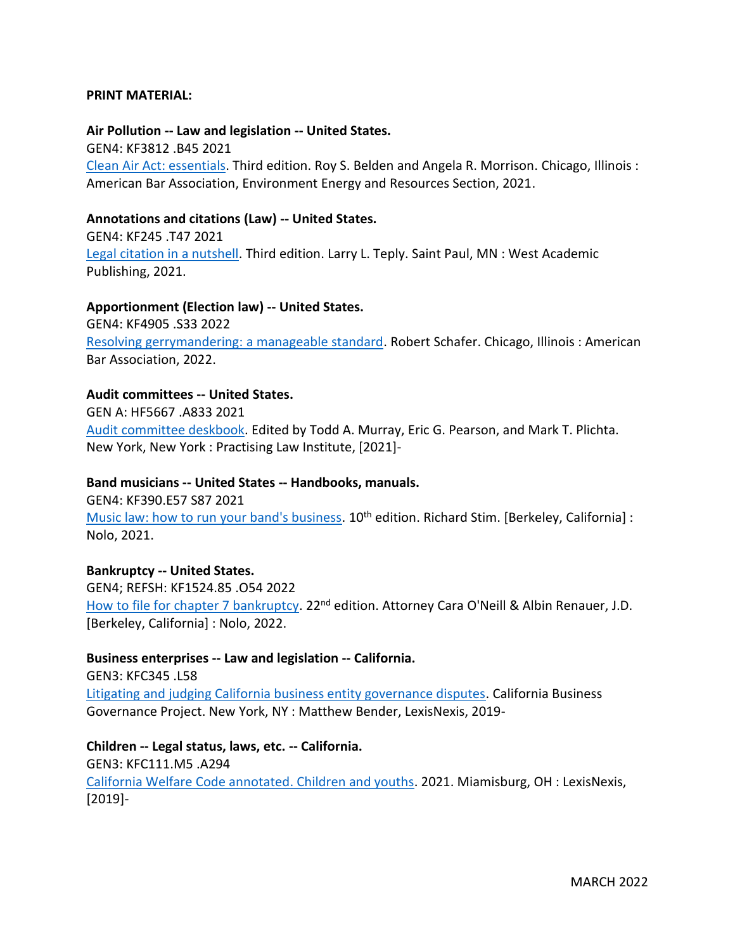#### **PRINT MATERIAL:**

**Air Pollution -- Law and legislation -- United States.** GEN4: KF3812 .B45 2021 [Clean Air Act:](https://innopac.ocpll.org/record=b240169) essentials. Third edition. Roy S. Belden and Angela R. Morrison. Chicago, Illinois : American Bar Association, Environment Energy and Resources Section, 2021.

# **Annotations and citations (Law) -- United States.**

GEN4: KF245 .T47 2021 [Legal citation in a nutshell.](https://innopac.ocpll.org/record=b237669) Third edition. Larry L. Teply. Saint Paul, MN : West Academic Publishing, 2021.

#### **Apportionment (Election law) -- United States.**

GEN4: KF4905 .S33 2022 [Resolving gerrymandering: a manageable standard.](https://innopac.ocpll.org/record=b242603) Robert Schafer. Chicago, Illinois : American Bar Association, 2022.

#### **Audit committees -- United States.**

GEN A: HF5667 .A833 2021 [Audit committee deskbook.](https://innopac.ocpll.org/record=b240915) Edited by Todd A. Murray, Eric G. Pearson, and Mark T. Plichta. New York, New York : Practising Law Institute, [2021]-

#### **Band musicians -- United States -- Handbooks, manuals.**

GEN4: KF390.E57 S87 2021 [Music law: how to run your band's business.](https://innopac.ocpll.org/record=b239864) 10<sup>th</sup> edition. Richard Stim. [Berkeley, California] : Nolo, 2021.

#### **Bankruptcy -- United States.**

GEN4; REFSH: KF1524.85 .O54 2022 [How to file for chapter 7 bankruptcy.](https://innopac.ocpll.org/record=b240923) 22<sup>nd</sup> edition. Attorney Cara O'Neill & Albin Renauer, J.D. [Berkeley, California] : Nolo, 2022.

**Business enterprises -- Law and legislation -- California.** GEN3: KFC345 .L58 [Litigating and judging California business entity governance disputes.](https://innopac.ocpll.org/record=b242664) California Business Governance Project. New York, NY : Matthew Bender, LexisNexis, 2019-

**Children -- Legal status, laws, etc. -- California.** GEN3: KFC111.M5 .A294 [California Welfare Code annotated. Children and youths.](https://innopac.ocpll.org/record=b242691) 2021. Miamisburg, OH : LexisNexis, [2019]-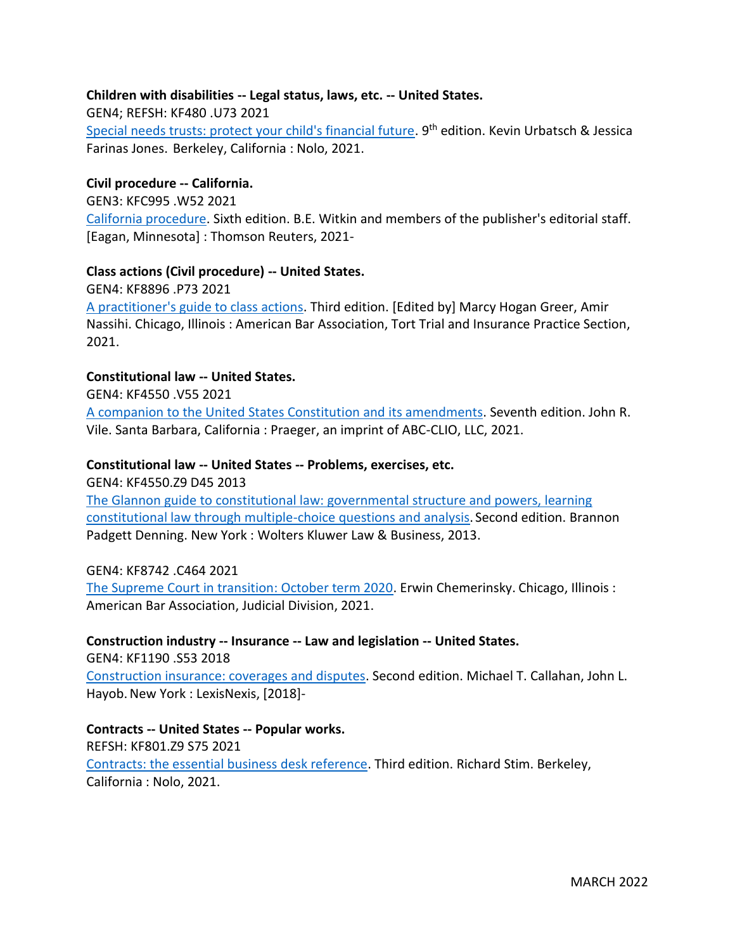# **Children with disabilities -- Legal status, laws, etc. -- United States.**

GEN4; REFSH: KF480 .U73 2021

[Special needs trusts: protect your child's financial future.](https://innopac.ocpll.org/record=b240171) 9<sup>th</sup> edition. Kevin Urbatsch & Jessica Farinas Jones. Berkeley, California : Nolo, 2021.

### **Civil procedure -- California.**

GEN3: KFC995 .W52 2021

[California procedure.](https://innopac.ocpll.org/record=b240912) Sixth edition. B.E. Witkin and members of the publisher's editorial staff. [Eagan, Minnesota] : Thomson Reuters, 2021-

### **Class actions (Civil procedure) -- United States.**

GEN4: KF8896 .P73 2021

[A practitioner's guide to class actions.](https://innopac.ocpll.org/record=b240170) Third edition. [Edited by] Marcy Hogan Greer, Amir Nassihi. Chicago, Illinois : American Bar Association, Tort Trial and Insurance Practice Section, 2021.

### **Constitutional law -- United States.**

GEN4: KF4550 .V55 2021

[A companion to the United States Constitution and its amendments.](https://innopac.ocpll.org/record=b237667) Seventh edition. John R. Vile. Santa Barbara, California : Praeger, an imprint of ABC-CLIO, LLC, 2021.

### **Constitutional law -- United States -- Problems, exercises, etc.**

GEN4: KF4550.Z9 D45 2013

[The Glannon guide to constitutional law: governmental structure and powers, learning](https://innopac.ocpll.org/record=b237665)  [constitutional law through multiple-choice questions and analysis.](https://innopac.ocpll.org/record=b237665) Second edition. Brannon Padgett Denning. New York : Wolters Kluwer Law & Business, 2013.

#### GEN4: KF8742 .C464 2021

[The Supreme Court in transition: October term 2020.](https://innopac.ocpll.org/record=b240165) Erwin Chemerinsky. Chicago, Illinois : American Bar Association, Judicial Division, 2021.

**Construction industry -- Insurance -- Law and legislation -- United States.** GEN4: KF1190 .S53 2018

[Construction insurance: coverages and disputes.](https://innopac.ocpll.org/record=b242680) Second edition. Michael T. Callahan, John L. Hayob. New York : LexisNexis, [2018]-

**Contracts -- United States -- Popular works.** REFSH: KF801.Z9 S75 2021 [Contracts: the essential business desk reference.](https://innopac.ocpll.org/record=b239863) Third edition. Richard Stim. Berkeley, California : Nolo, 2021.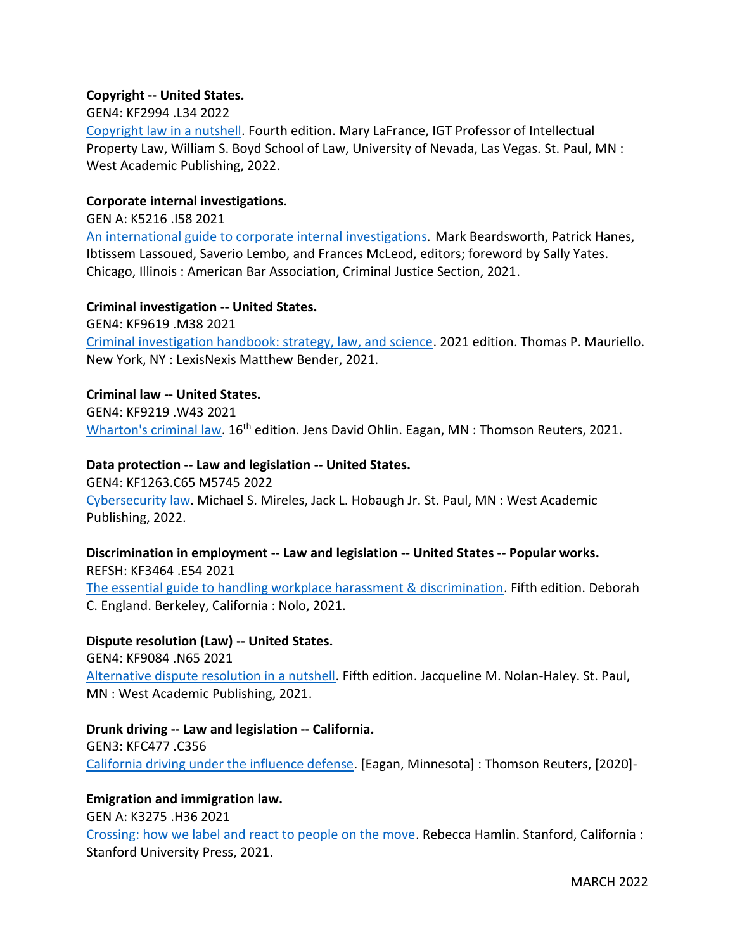# **Copyright -- United States.**

### GEN4: KF2994 .L34 2022

[Copyright law in a nutshell.](https://innopac.ocpll.org/record=b240917) Fourth edition. Mary LaFrance, IGT Professor of Intellectual Property Law, William S. Boyd School of Law, University of Nevada, Las Vegas. St. Paul, MN : West Academic Publishing, 2022.

### **Corporate internal investigations.**

GEN A: K5216 .I58 2021

[An international guide to corporate internal](https://innopac.ocpll.org/record=b240167) investigations. Mark Beardsworth, Patrick Hanes, Ibtissem Lassoued, Saverio Lembo, and Frances McLeod, editors; foreword by Sally Yates. Chicago, Illinois : American Bar Association, Criminal Justice Section, 2021.

### **Criminal investigation -- United States.**

GEN4: KF9619 .M38 2021 [Criminal investigation handbook: strategy, law, and science.](https://innopac.ocpll.org/record=b240161) 2021 edition. Thomas P. Mauriello. New York, NY : LexisNexis Matthew Bender, 2021.

### **Criminal law -- United States.**

GEN4: KF9219 .W43 2021 [Wharton's criminal law.](https://innopac.ocpll.org/record=b240926) 16<sup>th</sup> edition. Jens David Ohlin. Eagan, MN : Thomson Reuters, 2021.

### **Data protection -- Law and legislation -- United States.**

GEN4: KF1263.C65 M5745 2022 [Cybersecurity law.](https://innopac.ocpll.org/record=b242604) Michael S. Mireles, Jack L. Hobaugh Jr. St. Paul, MN : West Academic Publishing, 2022.

# **Discrimination in employment -- Law and legislation -- United States -- Popular works.** REFSH: KF3464 .E54 2021

[The essential guide to handling workplace harassment & discrimination.](https://innopac.ocpll.org/record=b239865) Fifth edition. Deborah C. England. Berkeley, California : Nolo, 2021.

**Dispute resolution (Law) -- United States.** GEN4: KF9084 .N65 2021 [Alternative dispute resolution in a nutshell.](https://innopac.ocpll.org/record=b240159) Fifth edition. Jacqueline M. Nolan-Haley. St. Paul, MN : West Academic Publishing, 2021.

**Drunk driving -- Law and legislation -- California.** GEN3: KFC477 .C356 [California driving under the influence defense.](https://innopac.ocpll.org/record=b240925) [Eagan, Minnesota] : Thomson Reuters, [2020]-

# **Emigration and immigration law.**

GEN A: K3275 .H36 2021 [Crossing: how we label and react to people on the move.](https://innopac.ocpll.org/record=b239374) Rebecca Hamlin. Stanford, California : Stanford University Press, 2021.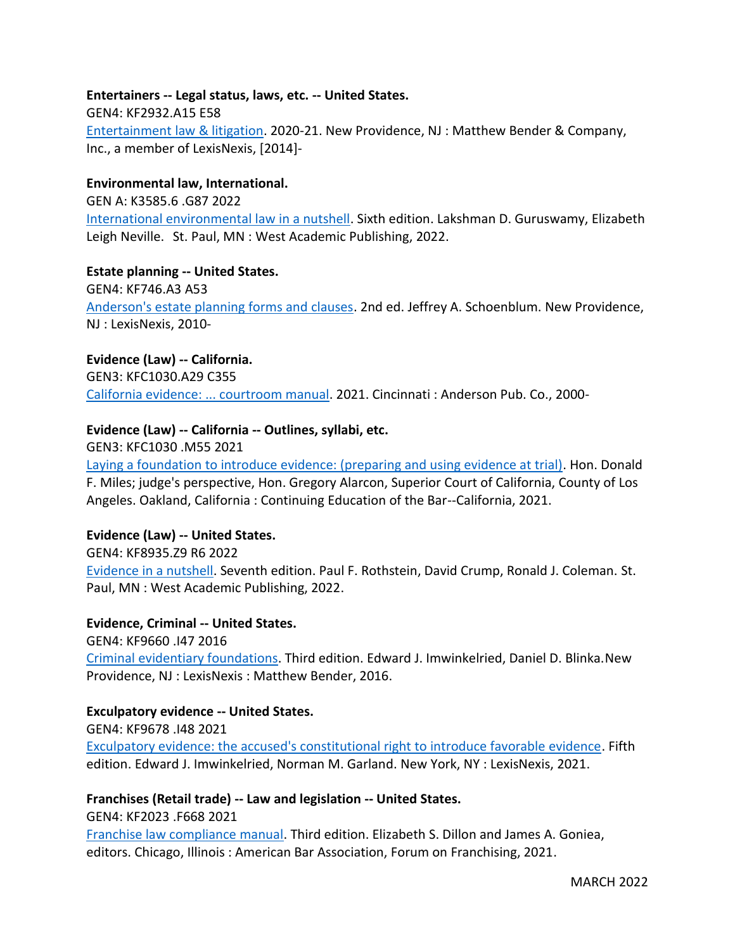# **Entertainers -- Legal status, laws, etc. -- United States.**

GEN4: KF2932.A15 E58

[Entertainment law & litigation.](https://innopac.ocpll.org/record=b242686) 2020-21. New Providence, NJ : Matthew Bender & Company, Inc., a member of LexisNexis, [2014]-

# **Environmental law, International.**

GEN A: K3585.6 .G87 2022

[International environmental law in a nutshell.](https://innopac.ocpll.org/record=b240919) Sixth edition. Lakshman D. Guruswamy, Elizabeth Leigh Neville. St. Paul, MN : West Academic Publishing, 2022.

### **Estate planning -- United States.**

GEN4: KF746.A3 A53 [Anderson's estate planning forms and clauses.](https://innopac.ocpll.org/record=b242688) 2nd ed. Jeffrey A. Schoenblum. New Providence, NJ : LexisNexis, 2010-

**Evidence (Law) -- California.** GEN3: KFC1030.A29 C355 [California evidence: ... courtroom manual.](https://innopac.ocpll.org/record=b242690) 2021. Cincinnati : Anderson Pub. Co., 2000-

# **Evidence (Law) -- California -- Outlines, syllabi, etc.**

GEN3: KFC1030 .M55 2021 [Laying a foundation to introduce evidence: \(preparing and using evidence at trial\).](https://innopac.ocpll.org/record=b240922) Hon. Donald F. Miles; judge's perspective, Hon. Gregory Alarcon, Superior Court of California, County of Los Angeles. Oakland, California : Continuing Education of the Bar--California, 2021.

# **Evidence (Law) -- United States.**

GEN4: KF8935.Z9 R6 2022 [Evidence in a nutshell.](https://innopac.ocpll.org/record=b240918) Seventh edition. Paul F. Rothstein, David Crump, Ronald J. Coleman. St. Paul, MN : West Academic Publishing, 2022.

#### **Evidence, Criminal -- United States.**

GEN4: KF9660 .I47 2016 [Criminal evidentiary foundations.](https://innopac.ocpll.org/record=b242683) Third edition. Edward J. Imwinkelried, Daniel D. Blinka.New Providence, NJ : LexisNexis : Matthew Bender, 2016.

# **Exculpatory evidence -- United States.**

GEN4: KF9678 .I48 2021 [Exculpatory evidence: the accused's constitutional right to introduce favorable evidence.](https://innopac.ocpll.org/record=b240913) Fifth edition. Edward J. Imwinkelried, Norman M. Garland. New York, NY : LexisNexis, 2021.

# **Franchises (Retail trade) -- Law and legislation -- United States.**

GEN4: KF2023 .F668 2021

[Franchise law compliance manual.](https://innopac.ocpll.org/record=b240166) Third edition. Elizabeth S. Dillon and James A. Goniea, editors. Chicago, Illinois : American Bar Association, Forum on Franchising, 2021.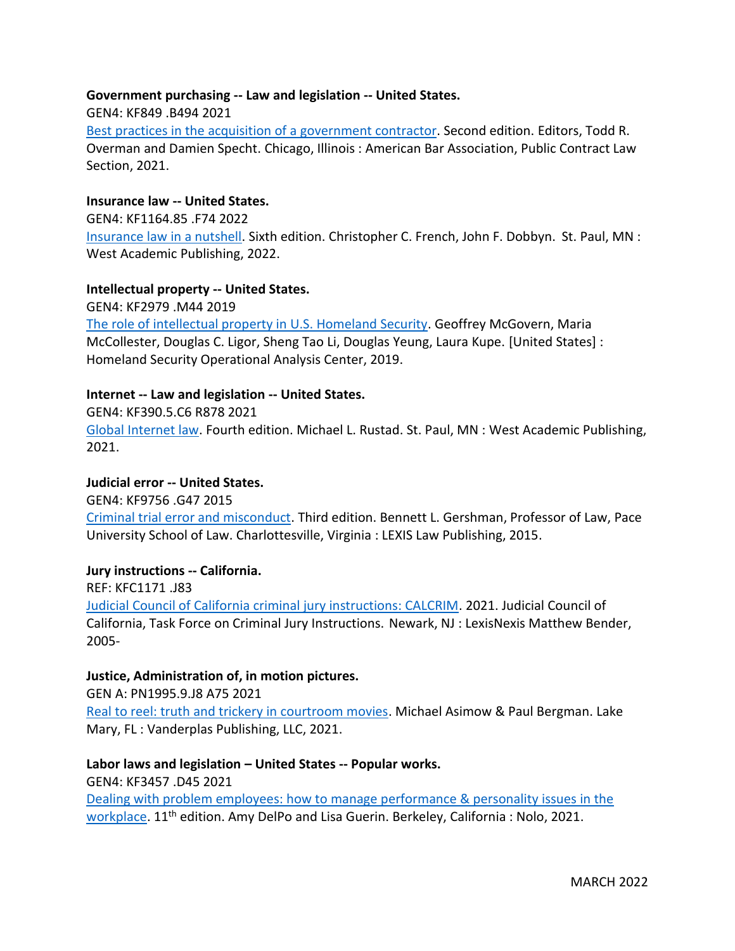# **Government purchasing -- Law and legislation -- United States.**

GEN4: KF849 .B494 2021

[Best practices in the acquisition of a government contractor.](https://innopac.ocpll.org/record=b240163) Second edition. Editors, Todd R. Overman and Damien Specht. Chicago, Illinois : American Bar Association, Public Contract Law Section, 2021.

# **Insurance law -- United States.**

GEN4: KF1164.85 .F74 2022

[Insurance law in a nutshell.](https://innopac.ocpll.org/record=b240134) Sixth edition. Christopher C. French, John F. Dobbyn. St. Paul, MN : West Academic Publishing, 2022.

### **Intellectual property -- United States.**

GEN4: KF2979 .M44 2019 [The role of intellectual property in U.S. Homeland Security.](https://innopac.ocpll.org/record=b231301) Geoffrey McGovern, Maria McCollester, Douglas C. Ligor, Sheng Tao Li, Douglas Yeung, Laura Kupe. [United States] : Homeland Security Operational Analysis Center, 2019.

### **Internet -- Law and legislation -- United States.**

GEN4: KF390.5.C6 R878 2021 [Global Internet law.](https://innopac.ocpll.org/record=b240135) Fourth edition. Michael L. Rustad. St. Paul, MN : West Academic Publishing, 2021.

### **Judicial error -- United States.**

GEN4: KF9756 .G47 2015

[Criminal trial error and misconduct.](https://innopac.ocpll.org/record=b242681) Third edition. Bennett L. Gershman, Professor of Law, Pace University School of Law. Charlottesville, Virginia : LEXIS Law Publishing, 2015.

# **Jury instructions -- California.**

REF: KFC1171 .J83

[Judicial Council of California criminal jury instructions: CALCRIM.](https://innopac.ocpll.org/record=b242663) 2021. Judicial Council of California, Task Force on Criminal Jury Instructions. Newark, NJ : LexisNexis Matthew Bender, 2005-

#### **Justice, Administration of, in motion pictures.**

GEN A: PN1995.9.J8 A75 2021

[Real to reel: truth and trickery in courtroom movies.](https://innopac.ocpll.org/record=b239375) Michael Asimow & Paul Bergman. Lake Mary, FL : Vanderplas Publishing, LLC, 2021.

# **Labor laws and legislation – United States -- Popular works.**

GEN4: KF3457 .D45 2021

[Dealing with problem employees: how to manage performance & personality issues in the](https://innopac.ocpll.org/record=b239866)  [workplace.](https://innopac.ocpll.org/record=b239866) 11<sup>th</sup> edition. Amy DelPo and Lisa Guerin. Berkeley, California : Nolo, 2021.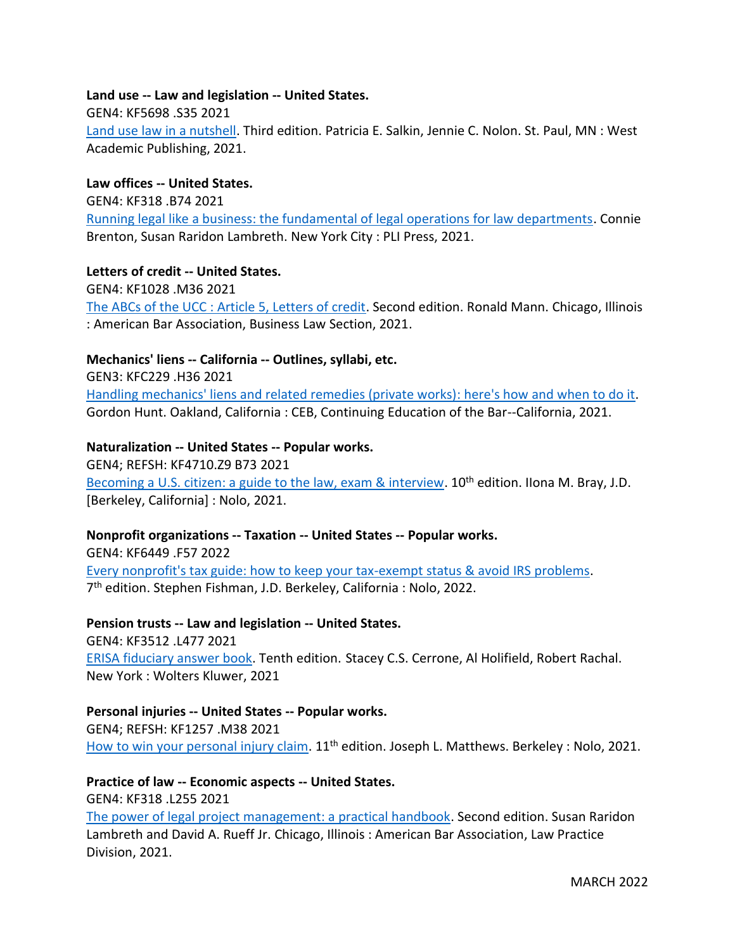# **Land use -- Law and legislation -- United States.**

# GEN4: KF5698 .S35 2021

[Land use law in a nutshell.](https://innopac.ocpll.org/record=b240158) Third edition. Patricia E. Salkin, Jennie C. Nolon. St. Paul, MN : West Academic Publishing, 2021.

# **Law offices -- United States.**

GEN4: KF318 .B74 2021 [Running legal like a business: the fundamental of legal operations for law departments.](https://innopac.ocpll.org/record=b242606) Connie Brenton, Susan Raridon Lambreth. New York City : PLI Press, 2021.

# **Letters of credit -- United States.**

GEN4: KF1028 .M36 2021 [The ABCs of the UCC : Article 5, Letters of credit.](https://innopac.ocpll.org/record=b242601) Second edition. Ronald Mann. Chicago, Illinois : American Bar Association, Business Law Section, 2021.

# **Mechanics' liens -- California -- Outlines, syllabi, etc.**

GEN3: KFC229 .H36 2021 [Handling mechanics' liens and related remedies \(private works\): here's how and when to do it.](https://innopac.ocpll.org/record=b240914) Gordon Hunt. Oakland, California : CEB, Continuing Education of the Bar--California, 2021.

### **Naturalization -- United States -- Popular works.**

GEN4; REFSH: KF4710.Z9 B73 2021 [Becoming a U.S. citizen: a guide to the law, exam & interview.](https://innopac.ocpll.org/record=b239862) 10<sup>th</sup> edition. IIona M. Bray, J.D. [Berkeley, California] : Nolo, 2021.

# **Nonprofit organizations -- Taxation -- United States -- Popular works.**

GEN4: KF6449 .F57 2022 [Every nonprofit's tax guide: how to keep your tax-exempt status & avoid IRS problems.](https://innopac.ocpll.org/record=b240924) 7 th edition. Stephen Fishman, J.D. Berkeley, California : Nolo, 2022.

# **Pension trusts -- Law and legislation -- United States.**

GEN4: KF3512 .L477 2021 [ERISA fiduciary answer book.](https://innopac.ocpll.org/record=b239342) Tenth edition. Stacey C.S. Cerrone, Al Holifield, Robert Rachal. New York : Wolters Kluwer, 2021

# **Personal injuries -- United States -- Popular works.**

GEN4; REFSH: KF1257 .M38 2021 [How to win your personal injury claim.](https://innopac.ocpll.org/record=b240172) 11<sup>th</sup> edition. Joseph L. Matthews. Berkeley : Nolo, 2021.

# **Practice of law -- Economic aspects -- United States.**

GEN4: KF318 .L255 2021

[The power of legal project management: a practical handbook.](https://innopac.ocpll.org/record=b242602) Second edition. Susan Raridon Lambreth and David A. Rueff Jr. Chicago, Illinois : American Bar Association, Law Practice Division, 2021.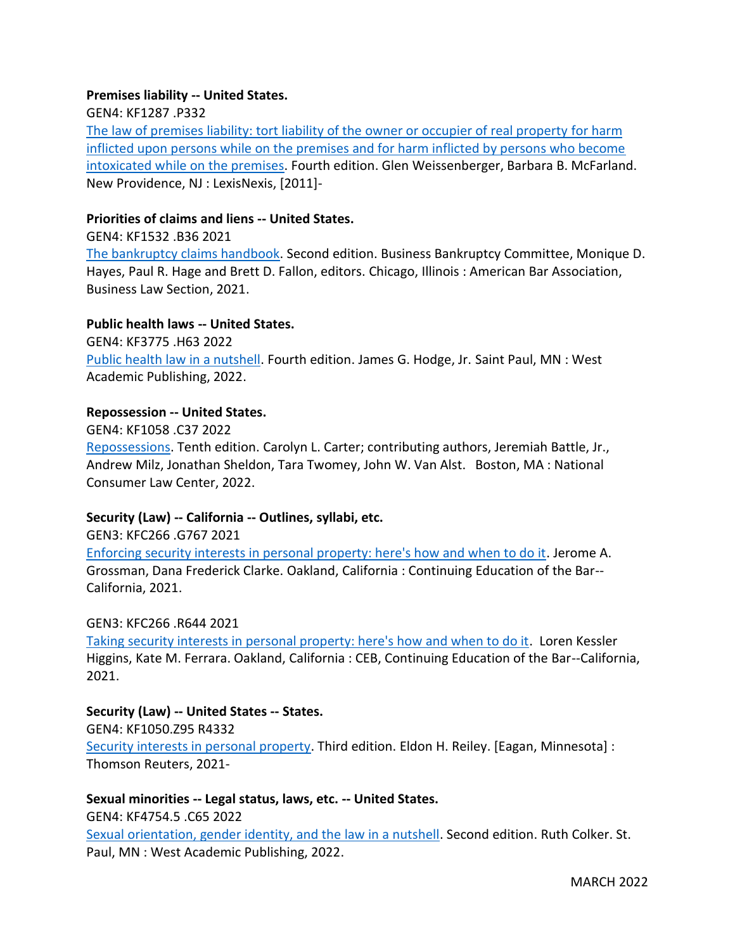# **Premises liability -- United States.**

GEN4: KF1287 .P332

[The law of premises liability: tort liability of the owner or occupier of real property](https://innopac.ocpll.org/record=b242685) for harm [inflicted upon persons while on the premises and for harm inflicted by persons who become](https://innopac.ocpll.org/record=b242685)  [intoxicated while on the premises.](https://innopac.ocpll.org/record=b242685) Fourth edition. Glen Weissenberger, Barbara B. McFarland. New Providence, NJ : LexisNexis, [2011]-

### **Priorities of claims and liens -- United States.**

GEN4: KF1532 .B36 2021

[The bankruptcy claims handbook.](https://innopac.ocpll.org/record=b240168) Second edition. Business Bankruptcy Committee, Monique D. Hayes, Paul R. Hage and Brett D. Fallon, editors. Chicago, Illinois : American Bar Association, Business Law Section, 2021.

### **Public health laws -- United States.**

GEN4: KF3775 .H63 2022 [Public health law in a nutshell.](https://innopac.ocpll.org/record=b240920) Fourth edition. James G. Hodge, Jr. Saint Paul, MN : West Academic Publishing, 2022.

# **Repossession -- United States.**

GEN4: KF1058 .C37 2022

[Repossessions.](https://innopac.ocpll.org/record=b242605) Tenth edition. Carolyn L. Carter; contributing authors, Jeremiah Battle, Jr., Andrew Milz, Jonathan Sheldon, Tara Twomey, John W. Van Alst. Boston, MA : National Consumer Law Center, 2022.

# **Security (Law) -- California -- Outlines, syllabi, etc.**

GEN3: KFC266 .G767 2021 [Enforcing security interests in personal property: here's how and when to do it.](https://innopac.ocpll.org/record=b242600) Jerome A. Grossman, Dana Frederick Clarke. Oakland, California : Continuing Education of the Bar-- California, 2021.

#### GEN3: KFC266 .R644 2021

[Taking security interests in personal property: here's how and when to do it.](https://innopac.ocpll.org/record=b242599) Loren Kessler Higgins, Kate M. Ferrara. Oakland, California : CEB, Continuing Education of the Bar--California, 2021.

# **Security (Law) -- United States -- States.**

GEN4: KF1050.Z95 R4332

[Security interests in personal property.](https://innopac.ocpll.org/record=b243580) Third edition. Eldon H. Reiley. [Eagan, Minnesota] : Thomson Reuters, 2021-

**Sexual minorities -- Legal status, laws, etc. -- United States.** GEN4: KF4754.5 .C65 2022 [Sexual orientation, gender identity, and the law in a nutshell.](https://innopac.ocpll.org/record=b240133) Second edition. Ruth Colker. St. Paul, MN : West Academic Publishing, 2022.